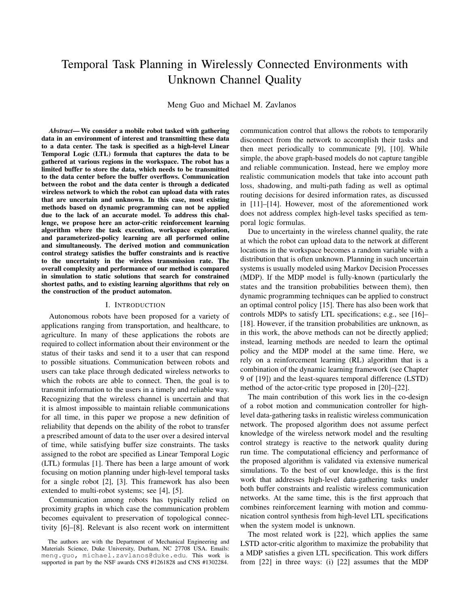# Temporal Task Planning in Wirelessly Connected Environments with Unknown Channel Quality

Meng Guo and Michael M. Zavlanos

*Abstract*— We consider a mobile robot tasked with gathering data in an environment of interest and transmitting these data to a data center. The task is specified as a high-level Linear Temporal Logic (LTL) formula that captures the data to be gathered at various regions in the workspace. The robot has a limited buffer to store the data, which needs to be transmitted to the data center before the buffer overflows. Communication between the robot and the data center is through a dedicated wireless network to which the robot can upload data with rates that are uncertain and unknown. In this case, most existing methods based on dynamic programming can not be applied due to the lack of an accurate model. To address this challenge, we propose here an actor-critic reinforcement learning algorithm where the task execution, workspace exploration, and parameterized-policy learning are all performed online and simultaneously. The derived motion and communication control strategy satisfies the buffer constraints and is reactive to the uncertainty in the wireless transmission rate. The overall complexity and performance of our method is compared in simulation to static solutions that search for constrained shortest paths, and to existing learning algorithms that rely on the construction of the product automaton.

#### I. INTRODUCTION

Autonomous robots have been proposed for a variety of applications ranging from transportation, and healthcare, to agriculture. In many of these applications the robots are required to collect information about their environment or the status of their tasks and send it to a user that can respond to possible situations. Communication between robots and users can take place through dedicated wireless networks to which the robots are able to connect. Then, the goal is to transmit information to the users in a timely and reliable way. Recognizing that the wireless channel is uncertain and that it is almost impossible to maintain reliable communications for all time, in this paper we propose a new definition of reliability that depends on the ability of the robot to transfer a prescribed amount of data to the user over a desired interval of time, while satisfying buffer size constraints. The tasks assigned to the robot are specified as Linear Temporal Logic (LTL) formulas [1]. There has been a large amount of work focusing on motion planning under high-level temporal tasks for a single robot [2], [3]. This framework has also been extended to multi-robot systems; see [4], [5].

Communication among robots has typically relied on proximity graphs in which case the communication problem becomes equivalent to preservation of topological connectivity [6]–[8]. Relevant is also recent work on intermittent communication control that allows the robots to temporarily disconnect from the network to accomplish their tasks and then meet periodically to communicate [9], [10]. While simple, the above graph-based models do not capture tangible and reliable communication. Instead, here we employ more realistic communication models that take into account path loss, shadowing, and multi-path fading as well as optimal routing decisions for desired information rates, as discussed in [11]–[14]. However, most of the aforementioned work does not address complex high-level tasks specified as temporal logic formulas.

Due to uncertainty in the wireless channel quality, the rate at which the robot can upload data to the network at different locations in the workspace becomes a random variable with a distribution that is often unknown. Planning in such uncertain systems is usually modeled using Markov Decision Processes (MDP). If the MDP model is fully-known (particularly the states and the transition probabilities between them), then dynamic programming techniques can be applied to construct an optimal control policy [15]. There has also been work that controls MDPs to satisfy LTL specifications; e.g., see [16]– [18]. However, if the transition probabilities are unknown, as in this work, the above methods can not be directly applied; instead, learning methods are needed to learn the optimal policy and the MDP model at the same time. Here, we rely on a reinforcement learning (RL) algorithm that is a combination of the dynamic learning framework (see Chapter 9 of [19]) and the least-squares temporal difference (LSTD) method of the actor-critic type proposed in [20]–[22].

The main contribution of this work lies in the co-design of a robot motion and communication controller for highlevel data-gathering tasks in realistic wireless communication network. The proposed algorithm does not assume perfect knowledge of the wireless network model and the resulting control strategy is reactive to the network quality during run time. The computational efficiency and performance of the proposed algorithm is validated via extensive numerical simulations. To the best of our knowledge, this is the first work that addresses high-level data-gathering tasks under both buffer constraints and realistic wireless communication networks. At the same time, this is the first approach that combines reinforcement learning with motion and communication control synthesis from high-level LTL specifications when the system model is unknown.

The most related work is [22], which applies the same LSTD actor-critic algorithm to maximize the probability that a MDP satisfies a given LTL specification. This work differs from [22] in three ways: (i) [22] assumes that the MDP

The authors are with the Department of Mechanical Engineering and Materials Science, Duke University, Durham, NC 27708 USA. Emails: meng.guo, michael.zavlanos@duke.edu. This work is supported in part by the NSF awards CNS #1261828 and CNS #1302284.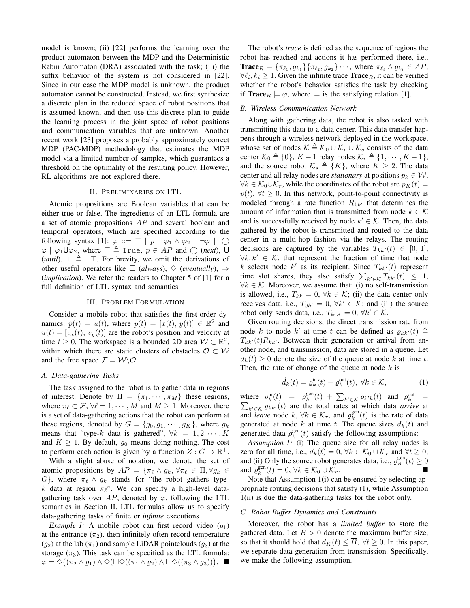model is known; (ii) [22] performs the learning over the product automaton between the MDP and the Deterministic Rabin Automaton (DRA) associated with the task; (iii) the suffix behavior of the system is not considered in [22]. Since in our case the MDP model is unknown, the product automaton cannot be constructed. Instead, we first synthesize a discrete plan in the reduced space of robot positions that is assumed known, and then use this discrete plan to guide the learning process in the joint space of robot positions and communication variables that are unknown. Another recent work [23] proposes a probably approximately correct MDP (PAC-MDP) methodology that estimates the MDP model via a limited number of samples, which guarantees a threshold on the optimality of the resulting policy. However, RL algorithms are not explored there.

#### II. PRELIMINARIES ON LTL

Atomic propositions are Boolean variables that can be either true or false. The ingredients of an LTL formula are a set of atomic propositions AP and several boolean and temporal operators, which are specified according to the following syntax [1]:  $\varphi ::= \top | p | \varphi_1 \wedge \varphi_2 | \neg \varphi | \bigcirc$  $\varphi \mid \varphi_1 \cup \varphi_2$ , where  $\top \triangleq$  True,  $p \in AP$  and  $\bigcirc$  (*next*), U (*until*).  $\perp \triangleq \neg \top$ . For brevity, we omit the derivations of other useful operators like  $\Box$  (*always*),  $\diamond$  (*eventually*),  $\Rightarrow$ (*implication*). We refer the readers to Chapter 5 of [1] for a full definition of LTL syntax and semantics.

#### III. PROBLEM FORMULATION

Consider a mobile robot that satisfies the first-order dynamics:  $\dot{p}(t) = u(t)$ , where  $p(t) = [x(t), y(t)] \in \mathbb{R}^2$  and  $u(t) = [v_x(t), v_y(t)]$  are the robot's position and velocity at time  $t \geq 0$ . The workspace is a bounded 2D area  $W \subset \mathbb{R}^2$ , within which there are static clusters of obstacles  $\mathcal{O} \subset \mathcal{W}$ and the free space  $\mathcal{F} = \mathcal{W} \backslash \mathcal{O}$ .

#### *A. Data-gathering Tasks*

The task assigned to the robot is to gather data in regions of interest. Denote by  $\Pi = {\pi_1, \cdots, \pi_M}$  these regions, where  $\pi_\ell \subset \mathcal{F}, \forall \ell = 1, \cdots, M$  and  $M \geq 1$ . Moreover, there is a set of data-gathering actions that the robot can perform at these regions, denoted by  $G = \{g_0, g_1, \dots, g_K\}$ , where  $g_k$ means that "type-k data is gathered",  $\forall k = 1, 2, \cdots, K$ and  $K \geq 1$ . By default,  $g_0$  means doing nothing. The cost to perform each action is given by a function  $Z: G \to \mathbb{R}^+$ .

With a slight abuse of notation, we denote the set of atomic propositions by  $AP = \{\pi_\ell \wedge g_k, \forall \pi_\ell \in \Pi, \forall g_k \in$  $G$ , where  $\pi_{\ell} \wedge g_k$  stands for "the robot gathers typek data at region  $\pi_{\ell}$ ". We can specify a high-level datagathering task over  $AP$ , denoted by  $\varphi$ , following the LTL semantics in Section II. LTL formulas allow us to specify data-gathering tasks of finite or *infinite* executions.

*Example 1:* A mobile robot can first record video  $(q_1)$ at the entrance  $(\pi_2)$ , then infinitely often record temperature  $(g_2)$  at the lab  $(\pi_1)$  and sample LiDAR pointclouds  $(g_3)$  at the storage  $(\pi_3)$ . This task can be specified as the LTL formula:  $\varphi = \Diamond ((\pi_2 \land g_1) \land \Diamond (\Box \Diamond ((\pi_1 \land g_2) \land \Box \Diamond ((\pi_3 \land g_3)))$ .

The robot's *trace* is defined as the sequence of regions the robot has reached and actions it has performed there, i.e., **Trace**<sub>R</sub> = { $\pi_{\ell_1}, g_{k_1}$ }{ $\pi_{\ell_2}, g_{k_2}$ }  $\cdots$ , where  $\pi_{\ell_i} \wedge g_{k_i} \in AP$ ,  $\forall \ell_i, k_i \geq 1$ . Given the infinite trace **Trace**<sub>R</sub>, it can be verified whether the robot's behavior satisfies the task by checking if **Trace**<sub>R</sub>  $\models \varphi$ , where  $\models$  is the satisfying relation [1].

#### *B. Wireless Communication Network*

Along with gathering data, the robot is also tasked with transmitting this data to a data center. This data transfer happens through a wireless network deployed in the workspace, whose set of nodes  $\mathcal{K} \triangleq \mathcal{K}_0 \cup \mathcal{K}_r \cup \mathcal{K}_s$  consists of the data center  $\mathcal{K}_0 \triangleq \{0\}$ ,  $K - 1$  relay nodes  $\mathcal{K}_r \triangleq \{1, \dots, K - 1\}$ , and the source robot  $\mathcal{K}_s \triangleq \{K\}$ , where  $K \geq 2$ . The data center and all relay nodes are *stationary* at positions  $p_k \in W$ ,  $\forall k \in \mathcal{K}_0 \cup \mathcal{K}_r$ , while the coordinates of the robot are  $p_K(t) =$  $p(t)$ ,  $\forall t \geq 0$ . In this network, point-to-point connectivity is modeled through a rate function  $R_{kk'}$  that determines the amount of information that is transmitted from node  $k \in \mathcal{K}$ and is successfully received by node  $k' \in \mathcal{K}$ . Then, the data gathered by the robot is transmitted and routed to the data center in a multi-hop fashion via the relays. The routing decisions are captured by the variables  $T_{kk'}(t) \in [0, 1]$ ,  $\forall k, k' \in \mathcal{K}$ , that represent the fraction of time that node k selects node  $k'$  as its recipient. Since  $T_{kk'}(t)$  represent time slot shares, they also satisfy  $\sum_{k' \in \mathcal{K}} T_{kk'}(t) \leq 1$ ,  $\forall k \in \mathcal{K}$ . Moreover, we assume that: (i) no self-transmission is allowed, i.e.,  $T_{kk} = 0, \forall k \in \mathcal{K}$ ; (ii) the data center only receives data, i.e.,  $T_{0k'} = 0$ ,  $\forall k' \in \mathcal{K}$ ; and (iii) the source robot only sends data, i.e.,  $T_{k'K} = 0$ ,  $\forall k' \in \mathcal{K}$ .

Given routing decisions, the direct transmission rate from node k to node k' at time t can be defined as  $\rho_{kk'}(t) \triangleq$  $T_{kk'}(t)R_{kk'}$ . Between their generation or arrival from another node, and transmission, data are stored in a queue. Let  $d_k(t) \geq 0$  denote the size of the queue at node k at time t. Then, the rate of change of the queue at node  $k$  is

$$
\dot{d}_k(t) = \varrho_k^{\text{in}}(t) - \varrho_k^{\text{out}}(t), \ \forall k \in \mathcal{K}, \tag{1}
$$

where  $\varrho_k^{\text{in}}(t) = \varrho_k^{\text{gen}}(t) + \sum_{k' \in \mathcal{K}} \varrho_{k'k}(t)$  and  $\varrho_k^{\text{out}}$ P  $\frac{1}{k}$  =  $k' \in \mathcal{K}$   $\varrho_{kk'}(t)$  are the total rates at which data *arrive* at and *leave* node  $k, \forall k \in \mathcal{K}_r$ , and  $\varrho_k^{\text{gen}}(t)$  is the rate of data generated at node k at time t. The queue sizes  $d_k(t)$  and generated data  $\rho_k^{\text{gen}}(t)$  satisfy the following assumptions:

*Assumption 1:* (i) The queue size for all relay nodes is zero for all time, i.e.,  $d_k(t) = 0$ ,  $\forall k \in \mathcal{K}_0 \cup \mathcal{K}_r$  and  $\forall t \geq 0$ ; and (ii) Only the source robot generates data, i.e.,  $\varrho_K^{\text{gen}}(t) \ge 0$ and  $\varrho_k^{\text{gen}}(t) = 0, \forall k \in \mathcal{K}_0 \cup \mathcal{K}_r.$ 

Note that Assumption 1(i) can be ensured by selecting appropriate routing decisions that satisfy (1), while Assumption 1(ii) is due the data-gathering tasks for the robot only.

#### *C. Robot Buffer Dynamics and Constraints*

Moreover, the robot has a *limited buffer* to store the gathered data. Let  $\overline{B} > 0$  denote the maximum buffer size, so that it should hold that  $d_K(t) \leq \overline{B}$ ,  $\forall t \geq 0$ . In this paper, we separate data generation from transmission. Specifically, we make the following assumption.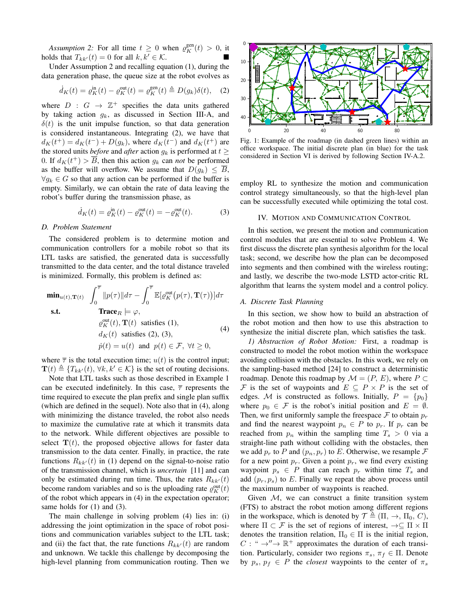Assumption 2: For all time  $t \geq 0$  when  $\varrho_K^{\text{gen}}(t) > 0$ , it holds that  $T_{kk'}(t) = 0$  for all  $k, k' \in \mathcal{K}$ .

Under Assumption 2 and recalling equation (1), during the data generation phase, the queue size at the robot evolves as

$$
\dot{d}_K(t) = \varrho_K^{\text{in}}(t) - \varrho_K^{\text{out}}(t) = \varrho_K^{\text{gen}}(t) \triangleq D(g_k)\delta(t), \quad (2)
$$

where  $D : G \rightarrow \mathbb{Z}^+$  specifies the data units gathered by taking action  $g_k$ , as discussed in Section III-A, and  $\delta(t)$  is the unit impulse function, so that data generation is considered instantaneous. Integrating (2), we have that  $d_K(t^+) = d_K(t^-) + D(g_k)$ , where  $d_K(t^-)$  and  $d_K(t^+)$  are the stored units *before* and *after* action  $g_k$  is performed at  $t \geq$ 0. If  $d_K(t^+) > \overline{B}$ , then this action  $g_k$  can *not* be performed as the buffer will overflow. We assume that  $D(q_k) \leq \overline{B}$ ,  $\forall g_k \in G$  so that any action can be performed if the buffer is empty. Similarly, we can obtain the rate of data leaving the robot's buffer during the transmission phase, as

$$
\dot{d}_K(t) = \varrho_K^{\text{in}}(t) - \varrho_K^{\text{out}}(t) = -\varrho_K^{\text{out}}(t). \tag{3}
$$

## *D. Problem Statement*

The considered problem is to determine motion and communication controllers for a mobile robot so that its LTL tasks are satisfied, the generated data is successfully transmitted to the data center, and the total distance traveled is minimized. Formally, this problem is defined as:

$$
\min_{u(t), \mathbf{T}(t)} \int_0^{\overline{\tau}} ||p(\tau)|| d\tau - \int_0^{\overline{\tau}} \mathbb{E}[\varrho_K^{\text{out}}(p(\tau), \mathbf{T}(\tau))] d\tau
$$
\n
$$
\text{s.t.} \qquad \text{Trace}_R \models \varphi,
$$
\n
$$
\varrho_K^{\text{out}}(t), \mathbf{T}(t) \text{ satisfies (1)},
$$
\n
$$
d_K(t) \text{ satisfies (2), (3)},
$$
\n
$$
\dot{p}(t) = u(t) \text{ and } p(t) \in \mathcal{F}, \forall t \ge 0,
$$
\n(4)

where  $\bar{\tau}$  is the total execution time;  $u(t)$  is the control input;  $\mathbf{T}(t) \triangleq \{T_{kk'}(t), \forall k, k' \in \mathcal{K}\}\$ is the set of routing decisions.

Note that LTL tasks such as those described in Example 1 can be executed indefinitely. In this case,  $\bar{\tau}$  represents the time required to execute the plan prefix and single plan suffix (which are defined in the sequel). Note also that in (4), along with minimizing the distance traveled, the robot also needs to maximize the cumulative rate at which it transmits data to the network. While different objectives are possible to select  $T(t)$ , the proposed objective allows for faster data transmission to the data center. Finally, in practice, the rate functions  $R_{kk'}(t)$  in (1) depend on the signal-to-noise ratio of the transmission channel, which is *uncertain* [11] and can only be estimated during run time. Thus, the rates  $R_{kk'}(t)$ become random variables and so is the uploading rate  $\rho_K^{\text{out}}(t)$ of the robot which appears in (4) in the expectation operator; same holds for  $(1)$  and  $(3)$ .

The main challenge in solving problem (4) lies in: (i) addressing the joint optimization in the space of robot positions and communication variables subject to the LTL task; and (ii) the fact that, the rate functions  $R_{kk'}(t)$  are random and unknown. We tackle this challenge by decomposing the high-level planning from communication routing. Then we



Fig. 1: Example of the roadmap (in dashed green lines) within an office workspace. The initial discrete plan (in blue) for the task considered in Section VI is derived by following Section IV-A.2.

employ RL to synthesize the motion and communication control strategy simultaneously, so that the high-level plan can be successfully executed while optimizing the total cost.

## IV. MOTION AND COMMUNICATION CONTROL

In this section, we present the motion and communication control modules that are essential to solve Problem 4. We first discuss the discrete plan synthesis algorithm for the local task; second, we describe how the plan can be decomposed into segments and then combined with the wireless routing; and lastly, we describe the two-mode LSTD actor-critic RL algorithm that learns the system model and a control policy.

#### *A. Discrete Task Planning*

In this section, we show how to build an abstraction of the robot motion and then how to use this abstraction to synthesize the initial discrete plan, which satisfies the task.

*1) Abstraction of Robot Motion:* First, a roadmap is constructed to model the robot motion within the workspace avoiding collision with the obstacles. In this work, we rely on the sampling-based method [24] to construct a deterministic roadmap. Denote this roadmap by  $\mathcal{M} = (P, E)$ , where  $P \subset$ F is the set of waypoints and  $E \subseteq P \times P$  is the set of edges. M is constructed as follows. Initially,  $P = \{p_0\}$ where  $p_0 \in \mathcal{F}$  is the robot's initial position and  $E = \emptyset$ . Then, we first uniformly sample the freespace  $\mathcal F$  to obtain  $p_r$ and find the nearest waypoint  $p_n \in P$  to  $p_r$ . If  $p_r$  can be reached from  $p_n$  within the sampling time  $T_s > 0$  via a straight-line path without colliding with the obstacles, then we add  $p_r$  to P and  $(p_n, p_r)$  to E. Otherwise, we resample F for a new point  $p_r$ . Given a point  $p_r$ , we find every existing waypoint  $p_s \in P$  that can reach  $p_r$  within time  $T_s$  and add  $(p_r, p_s)$  to E. Finally we repeat the above process until the maximum number of waypoints is reached.

Given  $M$ , we can construct a finite transition system (FTS) to abstract the robot motion among different regions in the workspace, which is denoted by  $\mathcal{T} \triangleq (\Pi, \rightarrow, \Pi_0, C)$ , where  $\Pi \subset \mathcal{F}$  is the set of regions of interest,  $\rightarrow \subseteq \Pi \times \Pi$ denotes the transition relation,  $\Pi_0 \in \Pi$  is the initial region,  $C: " \rightarrow" \rightarrow \mathbb{R}^+$  approximates the duration of each transition. Particularly, consider two regions  $\pi_s$ ,  $\pi_f \in \Pi$ . Denote by  $p_s$ ,  $p_f \in P$  the *closest* waypoints to the center of  $\pi_s$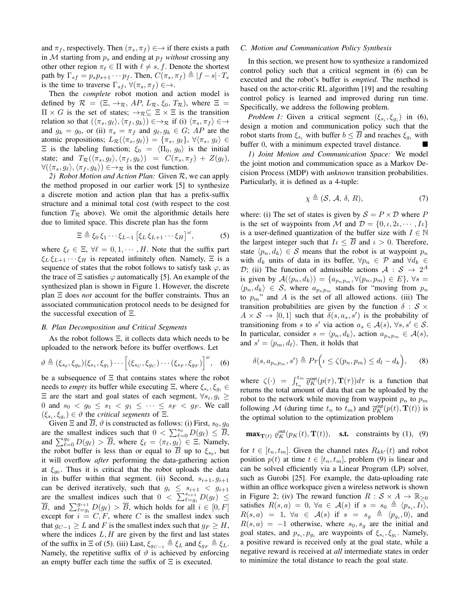and  $\pi_f$ , respectively. Then  $(\pi_s, \pi_f) \in \rightarrow$  if there exists a path in  $M$  starting from  $p_s$  and ending at  $p_f$  *without* crossing any other other region  $\pi_\ell \in \Pi$  with  $\ell \neq s, f$ . Denote the shortest path by  $\Gamma_{sf} = p_s p_{s+1} \cdots p_f$ . Then,  $C(\pi_s, \pi_f) \triangleq |f - s| \cdot T_s$ is the time to traverse  $\Gamma_{sf}$ ,  $\forall (\pi_s, \pi_f) \in \rightarrow$ .

Then the *complete* robot motion and action model is defined by  $\mathcal{R} = (\Xi, \rightarrow_{\mathcal{R}}, AP, L_{\mathcal{R}}, \xi_0, T_{\mathcal{R}})$ , where  $\Xi =$  $\Pi \times G$  is the set of states;  $\rightarrow_{\mathcal{R}} \subseteq \Xi \times \Xi$  is the transition relation so that  $(\langle \pi_s, g_\ell \rangle, \langle \pi_f, g_k \rangle) \in \rightarrow \mathbb{R}$  if (i)  $\langle \pi_s, \pi_f \rangle \in \rightarrow$ and  $g_k = g_0$ , or (ii)  $\pi_s = \pi_f$  and  $g_\ell, g_k \in G$ ; AP are the atomic propositions;  $L_{\mathcal{R}}(\langle \pi_s, g_\ell \rangle) = \{\pi_s, g_\ell\}, \forall \langle \pi_s, g_\ell \rangle \in$  $\Xi$  is the labeling function;  $\xi_0 = \langle \Pi_0, g_0 \rangle$  is the initial state; and  $T_{\mathcal{R}}(\langle \pi_s, g_\ell \rangle, \langle \pi_f, g_k \rangle) = C(\pi_s, \pi_f) + Z(g_\ell),$  $\forall (\langle \pi_s, g_\ell \rangle, \langle \pi_f, g_k \rangle) \in \rightarrow \mathcal{R}$  is the cost function.

*2) Robot Motion and Action Plan:* Given R, we can apply the method proposed in our earlier work [5] to synthesize a discrete motion and action plan that has a prefix-suffix structure and a minimal total cost (with respect to the cost function  $T_{\mathcal{R}}$  above). We omit the algorithmic details here due to limited space. This discrete plan has the form

$$
\Xi \triangleq \xi_0 \, \xi_1 \cdots \xi_{L-1} \left[ \xi_L \, \xi_{L+1} \cdots \xi_H \right]^{\omega},\tag{5}
$$

where  $\xi_{\ell} \in \Xi$ ,  $\forall \ell = 0, 1, \cdots, H$ . Note that the suffix part  $\xi_L \xi_{L+1} \cdots \xi_H$  is repeated infinitely often. Namely,  $\Xi$  is a sequence of states that the robot follows to satisfy task  $\varphi$ , as the trace of  $\Xi$  satisfies  $\varphi$  automatically [5]. An example of the synthesized plan is shown in Figure 1. However, the discrete plan Ξ does *not* account for the buffer constraints. Thus an associated communication protocol needs to be designed for the successful execution of Ξ.

## *B. Plan Decomposition and Critical Segments*

As the robot follows Ξ, it collects data which needs to be uploaded to the network before its buffer overflows. Let

$$
\vartheta \triangleq (\xi_{s_0}, \xi_{g_0})(\xi_{s_1}, \xi_{g_1}) \cdots \left[ (\xi_{s_C}, \xi_{g_C}) \cdots (\xi_{s_F}, \xi_{g_F}) \right]^{\omega}, \quad (6)
$$

be a subsequence of  $\Xi$  that contains states where the robot needs to *empty* its buffer while executing  $\Xi$ , where  $\xi_{s_i}, \xi_{g_i} \in$  $\Xi$  are the start and goal states of each segment,  $\forall s_i, g_i \geq$ 0 and  $s_0 < g_0 \leq s_1 < g_1 \leq \cdots \leq s_F < g_F$ . We call  $(\xi_{s_i}, \xi_{g_i}) \in \vartheta$  the *critical segments* of  $\Xi$ .

Given  $\Xi$  and  $\overline{B}$ ,  $\vartheta$  is constructed as follows: (i) First,  $s_0$ ,  $g_0$ are the smallest indices such that  $0 < \sum_{\ell=0}^{s_0} D(g_\ell) \leq \overline{B}$ , and  $\sum_{\ell=0}^{g_0} D(g_{\ell}) > \overline{B}$ , where  $\xi_{\ell} = \langle \pi_{\ell}, \overline{g_{\ell}} \rangle \in \Xi$ . Namely, the robot buffer is less than or equal to B up to  $\xi_{s_0}$ , but it will overflow *after* performing the data-gathering action at  $\xi_{g_0}$ . Thus it is critical that the robot uploads the data in its buffer within that segment. (ii) Second,  $s_{i+1}, g_{i+1}$ can be derived iteratively, such that  $g_i \leq s_{i+1} < g_{i+1}$ are the smallest indices such that  $0 < \sum_{\ell=g_i}^{s_{i+1}} D(g_{\ell}) \leq$  $\overline{B}$ , and  $\sum_{\ell=g_i}^{g_{i+1}} D(g_{\ell}) > \overline{B}$ , which holds for all  $i \in [0, F]$ except for  $i = C, F$ , where C is the smallest index such that  $g_{C-1} \geq L$  and F is the smallest index such that  $g_F \geq H$ , where the indices  $L, H$  are given by the first and last states of the suffix in  $\Xi$  of (5). (iii) Last,  $\xi_{g_{C-1}} \triangleq \xi_L$  and  $\xi_{g_F} \triangleq \xi_L$ . Namely, the repetitive suffix of  $\vartheta$  is achieved by enforcing an empty buffer each time the suffix of  $\Xi$  is executed.

#### *C. Motion and Communication Policy Synthesis*

In this section, we present how to synthesize a randomized control policy such that a critical segment in (6) can be executed and the robot's buffer is *emptied*. The method is based on the actor-critic RL algorithm [19] and the resulting control policy is learned and improved during run time. Specifically, we address the following problem.

*Problem 1:* Given a critical segment  $(\xi_{s_i}, \xi_{g_i})$  in (6), design a motion and communication policy such that the robot starts from  $\xi_{s_i}$  with buffer  $b \leq \overline{B}$  and reaches  $\xi_{q_i}$  with buffer 0, with a minimum expected travel distance.

*1) Joint Motion and Communication Space:* We model the joint motion and communication space as a Markov Decision Process (MDP) with *unknown* transition probabilities. Particularly, it is defined as a 4-tuple:

$$
\chi \triangleq (\mathcal{S}, \mathcal{A}, \delta, R), \tag{7}
$$

where: (i) The set of states is given by  $S = P \times D$  where P is the set of waypoints from M and  $\mathcal{D} = \{0, \iota, 2\iota, \cdots, I\iota\}$ is a user-defined quantization of the buffer size with  $I \in \mathbb{N}$ the largest integer such that  $I_l \leq \overline{B}$  and  $l > 0$ . Therefore, state  $\langle p_n, d_k \rangle \in S$  means that the robot is at waypoint  $p_n$ with  $d_k$  units of data in its buffer,  $\forall p_n \in \mathcal{P}$  and  $\forall d_k \in$ D; (ii) The function of admissible actions  $A: S \rightarrow 2^A$ is given by  $\mathcal{A}(\langle p_n, d_k \rangle) = \{a_{p_n p_m}, \forall (p_n, p_m) \in E\}, \forall s =$  $\langle p_n, d_k \rangle \in S$ , where  $a_{p_n p_m}$  stands for "moving from  $p_n$ to  $p_m$ " and A is the set of all allowed actions. (iii) The transition probabilities are given by the function  $\delta : \mathcal{S} \times$  $A \times S \rightarrow [0,1]$  such that  $\delta(s, a_s, s')$  is the probability of transitioning from s to s' via action  $a_s \in \mathcal{A}(s)$ ,  $\forall s, s' \in \mathcal{S}$ . In particular, consider  $s = \langle p_n, d_k \rangle$ , action  $a_{p_n p_m} \in \mathcal{A}(s)$ , and  $s' = \langle p_m, d_\ell \rangle$ . Then, it holds that

$$
\delta(s, a_{p_n p_m}, s') \triangleq Pr\Big(i \le \zeta(p_n, p_m) \le d_l - d_k\Big), \qquad (8)
$$

where  $\zeta(\cdot) = \int_{t_n}^{t_m} \overline{\varrho}_K^{\text{out}}(p(\tau), \mathbf{T}(\tau)) d\tau$  is a function that returns the total amount of data that can be uploaded by the robot to the network while moving from waypoint  $p_n$  to  $p_m$ following M (during time  $t_n$  to  $t_m$ ) and  $\overline{\varrho}_K^{\text{out}}(p(t), \mathbf{T}(t))$  is the optimal solution to the optimization problem

$$
\mathbf{max}_{\mathbf{T}(t)} \varrho_K^{\text{out}}(p_K(t), \mathbf{T}(t)), \quad \text{s.t.} \quad \text{constraints by (1),} \quad (9)
$$

for  $t \in [t_n, t_m]$ . Given the channel rates  $R_{kk'}(t)$  and robot position  $p(t)$  at time  $t \in [t_n, t_m]$ , problem (9) is linear and can be solved efficiently via a Linear Program (LP) solver, such as Gurobi [25]. For example, the data-uploading rate within an office workspace given a wireless network is shown in Figure 2; (iv) The reward function  $R : S \times A \rightarrow \mathbb{R}_{\geq 0}$ satisfies  $R(s, a) = 0, \ \forall a \in \mathcal{A}(s)$  if  $s = s_0 \triangleq \langle p_{s_i}, I_0 \rangle$ ,  $R(s, a) = 1, \forall a \in \mathcal{A}(s)$  if  $s = s_g \triangleq \langle p_{g_i}, 0 \rangle$ , and  $R(s, a) = -1$  otherwise, where  $s_0, s_a$  are the initial and goal states, and  $p_{s_i}, p_{g_i}$  are waypoints of  $\xi_{s_i}, \xi_{g_i}$ . Namely, a positive reward is received only at the goal state, while a negative reward is received at *all* intermediate states in order to minimize the total distance to reach the goal state.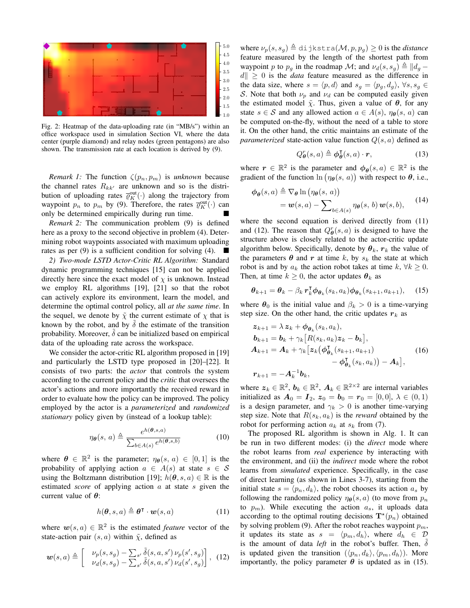

Fig. 2: Heatmap of the data-uploading rate (in "MB/s") within an office workspace used in simulation Section VI, where the data center (purple diamond) and relay nodes (green pentagons) are also shown. The transmission rate at each location is derived by (9).

*Remark 1:* The function  $\zeta(p_n, p_m)$  is *unknown* because the channel rates  $R_{kk'}$  are unknown and so is the distribution of uploading rates  $\overline{\mathcal{O}}_K^{\text{out}}(\cdot)$  along the trajectory from waypoint  $p_n$  to  $p_m$  by (9). Therefore, the rates  $\overline{\varrho}_K^{\text{out}}(\cdot)$  can only be determined empirically during run time.

*Remark 2:* The communication problem (9) is defined here as a proxy to the second objective in problem (4). Determining robot waypoints associated with maximum uploading rates as per (9) is a sufficient condition for solving (4).

*2) Two-mode LSTD Actor-Critic RL Algorithm:* Standard dynamic programming techniques [15] can not be applied directly here since the exact model of  $\chi$  is unknown. Instead we employ RL algorithms [19], [21] so that the robot can actively explore its environment, learn the model, and determine the optimal control policy, all *at the same time*. In the sequel, we denote by  $\tilde{\chi}$  the current estimate of  $\chi$  that is known by the robot, and by  $\tilde{\delta}$  the estimate of the transition probability. Moreover,  $\delta$  can be initialized based on empirical data of the uploading rate across the workspace.

We consider the actor-critic RL algorithm proposed in [19] and particularly the LSTD type proposed in [20]–[22]. It consists of two parts: the *actor* that controls the system according to the current policy and the *critic* that oversees the actor's actions and more importantly the received reward in order to evaluate how the policy can be improved. The policy employed by the actor is a *parameterized* and *randomized stationary* policy given by (instead of a lookup table):

$$
\eta_{\theta}(s, a) \triangleq \frac{e^{h(\theta, s, a)}}{\sum_{b \in A(s)} e^{h(\theta, s, b)}}
$$
(10)

where  $\theta \in \mathbb{R}^2$  is the parameter;  $\eta_{\theta}(s, a) \in [0, 1]$  is the probability of applying action  $a \in A(s)$  at state  $s \in S$ using the Boltzmann distribution [19];  $h(\theta, s, a) \in \mathbb{R}$  is the estimated *score* of applying action a at state s given the current value of  $\theta$ :

$$
h(\boldsymbol{\theta}, s, a) \triangleq \boldsymbol{\theta}^{\mathsf{T}} \cdot \boldsymbol{w}(s, a)
$$
 (11)

where  $w(s, a) \in \mathbb{R}^2$  is the estimated *feature* vector of the state-action pair  $(s, a)$  within  $\tilde{\chi}$ , defined as

$$
\boldsymbol{w}(s,a) \triangleq \begin{bmatrix} \nu_p(s,s_g) - \sum_{s'} \tilde{\delta}(s,a,s') \nu_p(s',s_g) \\ \nu_d(s,s_g) - \sum_{s'} \tilde{\delta}(s,a,s') \nu_d(s',s_g) \end{bmatrix}, \tag{12}
$$

where  $\nu_p(s, s_q) \triangleq$  dijkstra $(\mathcal{M}, p, p_q) \geq 0$  is the *distance* feature measured by the length of the shortest path from waypoint p to  $p_q$  in the roadmap M; and  $\nu_d(s, s_q) \triangleq ||d_q - d||$  $\|d\| \geq 0$  is the *data* feature measured as the difference in the data size, where  $s = \langle p, d \rangle$  and  $s_g = \langle p_g, d_g \rangle$ ,  $\forall s, s_g \in$ S. Note that both  $\nu_p$  and  $\nu_d$  can be computed easily given the estimated model  $\tilde{\chi}$ . Thus, given a value of  $\theta$ , for any state  $s \in S$  and any allowed action  $a \in A(s)$ ,  $\eta_{\theta}(s, a)$  can be computed on-the-fly, without the need of a table to store it. On the other hand, the critic maintains an estimate of the *parameterized* state-action value function  $Q(s, a)$  defined as

$$
Q_{\theta}^{r}(s, a) \triangleq \phi_{\theta}^{\mathsf{T}}(s, a) \cdot r,
$$
 (13)

where  $r \in \mathbb{R}^2$  is the parameter and  $\phi_{\theta}(s, a) \in \mathbb{R}^2$  is the gradient of the function  $\ln(\eta_{\theta}(s, a))$  with respect to  $\theta$ , i.e.,

$$
\phi_{\theta}(s, a) \triangleq \nabla_{\theta} \ln (\eta_{\theta}(s, a))
$$
  
=  $\mathbf{w}(s, a) - \sum_{b \in A(s)} \eta_{\theta}(s, b) \mathbf{w}(s, b),$  (14)

where the second equation is derived directly from (11) and (12). The reason that  $Q_{\theta}^{r}(s, a)$  is designed to have the structure above is closely related to the actor-critic update algorithm below. Specifically, denote by  $\theta_k$ ,  $r_k$  the value of the parameters  $\theta$  and r at time k, by  $s_k$  the state at which robot is and by  $a_k$  the action robot takes at time  $k, \forall k \geq 0$ . Then, at time  $k \geq 0$ , the actor updates  $\theta_k$  as

$$
\boldsymbol{\theta}_{k+1} = \boldsymbol{\theta}_k - \beta_k \, \boldsymbol{r}_k^{\mathsf{T}} \boldsymbol{\phi}_{\boldsymbol{\theta}_k}(s_k, a_k) \boldsymbol{\phi}_{\boldsymbol{\theta}_k}(s_{k+1}, a_{k+1}), \quad (15)
$$

where  $\theta_0$  is the initial value and  $\beta_k > 0$  is a time-varying step size. On the other hand, the critic updates  $r_k$  as

$$
z_{k+1} = \lambda z_k + \phi_{\theta_k}(s_k, a_k),
$$
  
\n
$$
b_{k+1} = b_k + \gamma_k [R(s_k, a_k)z_k - b_k],
$$
  
\n
$$
A_{k+1} = A_k + \gamma_k [z_k(\phi_{\theta_k}^{\mathsf{T}}(s_{k+1}, a_{k+1}) - \phi_{\theta_k}^{\mathsf{T}}(s_k, a_k)) - A_k],
$$
\n
$$
r_{k+1} = -A_k^{-1}b_k,
$$
\n(16)

where  $z_k \in \mathbb{R}^2$ ,  $b_k \in \mathbb{R}^2$ ,  $A_k \in \mathbb{R}^{2 \times 2}$  are internal variables initialized as  $A_0 = I_2$ ,  $z_0 = b_0 = r_0 = [0, 0]$ ,  $\lambda \in (0, 1)$ is a design parameter, and  $\gamma_k > 0$  is another time-varying step size. Note that  $R(s_k, a_k)$  is the *reward* obtained by the robot for performing action  $a_k$  at  $s_k$  from (7).

The proposed RL algorithm is shown in Alg. 1. It can be run in two different modes: (i) the *direct* mode where the robot learns from *real* experience by interacting with the environment, and (ii) the *indirect* mode where the robot learns from *simulated* experience. Specifically, in the case of direct learning (as shown in Lines 3-7), starting from the initial state  $s = \langle p_n, d_k \rangle$ , the robot chooses its action  $a_s$  by following the randomized policy  $\eta_{\theta}(s, a)$  (to move from  $p_n$ ) to  $p_m$ ). While executing the action  $a_s$ , it uploads data according to the optimal routing decisions  $\mathbf{T}^{\star}(p_n)$  obtained by solving problem (9). After the robot reaches waypoint  $p_m$ , it updates its state as  $s = \langle p_m, d_h \rangle$ , where  $d_h \in \mathcal{D}$ is the amount of data *left* in the robot's buffer. Then,  $\delta$ is updated given the transition  $(\langle p_n, d_k \rangle, \langle p_m, d_h \rangle)$ . More importantly, the policy parameter  $\theta$  is updated as in (15).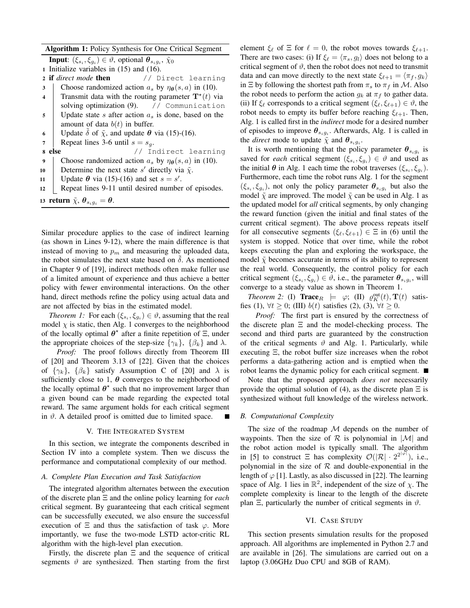## Algorithm 1: Policy Synthesis for One Critical Segment

**Input**:  $(\xi_{s_i}, \xi_{g_i}) \in \vartheta$ , optional  $\theta_{s_i g_i}, \tilde{\chi}_0$ 

- 1 Initialize variables in (15) and (16).
- <sup>2</sup> if *direct mode* then // Direct learning
- 3 Choose randomized action  $a_s$  by  $\eta_{\theta}(s, a)$  in (10).
- 4 Transmit data with the routing parameter  $\mathbf{T}^*(t)$  via solving optimization (9). // Communication 5 | Update state s after action  $a<sub>s</sub>$  is done, based on the
- amount of data  $b(t)$  in buffer.
- 6 Update  $\delta$  of  $\tilde{\chi}$ , and update  $\theta$  via (15)-(16).
- 7 Repeat lines 3-6 until  $s = s_g$ .
- 8 else // Indirect learning
- 9 Choose randomized action  $a_s$  by  $\eta_{\theta}(s, a)$  in (10).
- 10 Determine the next state s' directly via  $\tilde{\chi}$ .
- 11 | Update  $\theta$  via (15)-(16) and set  $s = s'$ .
- 12 Repeat lines 9-11 until desired number of episodes.
- 13 return  $\tilde{\chi}, \theta_{s_i g_i} = \theta$ .

Similar procedure applies to the case of indirect learning (as shown in Lines 9-12), where the main difference is that instead of moving to  $p_m$  and measuring the uploaded data, the robot simulates the next state based on  $\delta$ . As mentioned in Chapter 9 of [19], indirect methods often make fuller use of a limited amount of experience and thus achieve a better policy with fewer environmental interactions. On the other hand, direct methods refine the policy using actual data and are not affected by bias in the estimated model.

*Theorem 1:* For each  $(\xi_{s_i}, \xi_{g_i}) \in \vartheta$ , assuming that the real model  $\chi$  is static, then Alg. 1 converges to the neighborhood of the locally optimal  $\theta^*$  after a finite repetition of  $\Xi$ , under the appropriate choices of the step-size  $\{\gamma_k\}$ ,  $\{\beta_k\}$  and  $\lambda$ .

*Proof:* The proof follows directly from Theorem III of [20] and Theorem 3.13 of [22]. Given that the choices of  $\{\gamma_k\}$ ,  $\{\beta_k\}$  satisfy Assumption C of [20] and  $\lambda$  is sufficiently close to 1,  $\theta$  converges to the neighborhood of the locally optimal  $\theta^*$  such that no improvement larger than a given bound can be made regarding the expected total reward. The same argument holds for each critical segment in  $\vartheta$ . A detailed proof is omitted due to limited space.

## V. THE INTEGRATED SYSTEM

In this section, we integrate the components described in Section IV into a complete system. Then we discuss the performance and computational complexity of our method.

## *A. Complete Plan Execution and Task Satisfaction*

The integrated algorithm alternates between the execution of the discrete plan Ξ and the online policy learning for *each* critical segment. By guaranteeing that each critical segment can be successfully executed, we also ensure the successful execution of  $\Xi$  and thus the satisfaction of task  $\varphi$ . More importantly, we fuse the two-mode LSTD actor-critic RL algorithm with the high-level plan execution.

Firstly, the discrete plan  $\Xi$  and the sequence of critical segments  $\vartheta$  are synthesized. Then starting from the first element  $\xi_{\ell}$  of  $\Xi$  for  $\ell = 0$ , the robot moves towards  $\xi_{\ell+1}$ . There are two cases: (i) If  $\xi_{\ell} = \langle \pi_s, g_l \rangle$  does not belong to a critical segment of  $\vartheta$ , then the robot does not need to transmit data and can move directly to the next state  $\xi_{\ell+1} = \langle \pi_f, g_k \rangle$ in  $\Xi$  by following the shortest path from  $\pi_s$  to  $\pi_f$  in M. Also the robot needs to perform the action  $g_k$  at  $\pi_f$  to gather data. (ii) If  $\xi_{\ell}$  corresponds to a critical segment  $(\xi_{\ell}, \xi_{\ell+1}) \in \vartheta$ , the robot needs to empty its buffer before reaching  $\xi_{\ell+1}$ . Then, Alg. 1 is called first in the *indirect* mode for a desired number of episodes to improve  $\theta_{s_i g_i}$ . Afterwards, Alg. 1 is called in the *direct* mode to update  $\tilde{\chi}$  and  $\theta_{s_i g_i}$ .

It is worth mentioning that the policy parameter  $\theta_{s_i g_i}$  is saved for *each* critical segment  $(\xi_{s_i}, \xi_{g_i}) \in \vartheta$  and used as the initial  $\theta$  in Alg. 1 each time the robot traverses  $(\xi_{s_i}, \xi_{g_i})$ . Furthermore, each time the robot runs Alg. 1 for the segment  $(\xi_{s_i}, \xi_{g_i})$ , not only the policy parameter  $\theta_{s_i g_i}$  but also the model  $\tilde{\chi}$  are improved. The model  $\tilde{\chi}$  can be used in Alg. 1 as the updated model for *all* critical segments, by only changing the reward function (given the initial and final states of the current critical segment). The above process repeats itself for all consecutive segments  $(\xi_{\ell}, \xi_{\ell+1}) \in \Xi$  in (6) until the system is stopped. Notice that over time, while the robot keeps executing the plan and exploring the workspace, the model  $\tilde{\chi}$  becomes accurate in terms of its ability to represent the real world. Consequently, the control policy for each critical segment  $(\xi_{s_i}, \xi_{g_i}) \in \vartheta$ , i.e., the parameter  $\theta_{s_i g_i}$ , will converge to a steady value as shown in Theorem 1.

*Theorem 2:* (I)  $\text{Trace}_R$   $\models \varphi$ ; (II)  $\varrho_K^{\text{out}}(t), \mathbf{T}(t)$  satisfies (1),  $\forall t \geq 0$ ; (III)  $b(t)$  satisfies (2), (3),  $\forall t \geq 0$ .

*Proof:* The first part is ensured by the correctness of the discrete plan  $\Xi$  and the model-checking process. The second and third parts are guaranteed by the construction of the critical segments  $\vartheta$  and Alg. 1. Particularly, while executing Ξ, the robot buffer size increases when the robot performs a data-gathering action and is emptied when the robot learns the dynamic policy for each critical segment.

Note that the proposed approach *does not* necessarily provide the optimal solution of (4), as the discrete plan  $\Xi$  is synthesized without full knowledge of the wireless network.

## *B. Computational Complexity*

The size of the roadmap  $M$  depends on the number of waypoints. Then the size of  $R$  is polynomial in  $|M|$  and the robot action model is typically small. The algorithm in [5] to construct  $\Xi$  has complexity  $\mathcal{O}(|\mathcal{R}| \cdot 2^{2^{|\varphi|}})$ , i.e., polynomial in the size of  $R$  and double-exponential in the length of  $\varphi$  [1]. Lastly, as also discussed in [22]. The learning space of Alg. 1 lies in  $\mathbb{R}^2$ , independent of the size of  $\chi$ . The complete complexity is linear to the length of the discrete plan  $\Xi$ , particularly the number of critical segments in  $\vartheta$ .

#### VI. CASE STUDY

This section presents simulation results for the proposed approach. All algorithms are implemented in Python 2.7 and are available in [26]. The simulations are carried out on a laptop (3.06GHz Duo CPU and 8GB of RAM).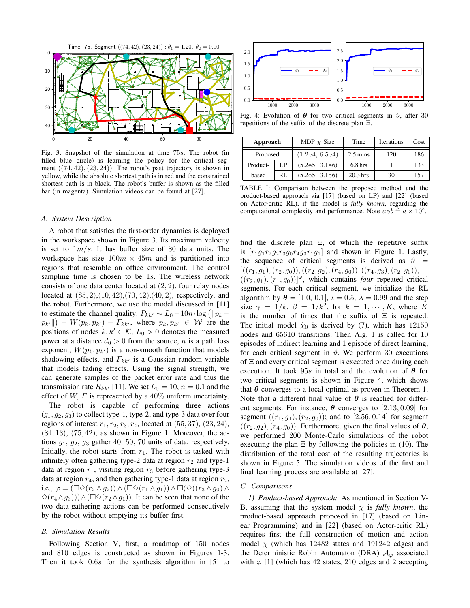

Fig. 3: Snapshot of the simulation at time 75s. The robot (in filled blue circle) is learning the policy for the critical segment  $((74, 42), (23, 24))$ . The robot's past trajectory is shown in yellow, while the absolute shortest path is in red and the constrained shortest path is in black. The robot's buffer is shown as the filled bar (in magenta). Simulation videos can be found at [27].

## *A. System Description*

A robot that satisfies the first-order dynamics is deployed in the workspace shown in Figure 3. Its maximum velocity is set to  $1m/s$ . It has buffer size of 80 data units. The workspace has size  $100m \times 45m$  and is partitioned into regions that resemble an office environment. The control sampling time is chosen to be 1s. The wireless network consists of one data center located at (2, 2), four relay nodes located at  $(85, 2), (10, 42), (70, 42), (40, 2),$  respectively, and the robot. Furthermore, we use the model discussed in [11] to estimate the channel quality:  $P_{kk'} \sim L_0 - 10n \cdot \log (||p_k - p||)$  $p_{k'}$   $||$   $- W(p_k, p_{k'}) - F_{kk'}$ , where  $p_k, p_{k'} \in W$  are the positions of nodes  $k, k' \in \mathcal{K}; L_0 > 0$  denotes the measured power at a distance  $d_0 > 0$  from the source, n is a path loss exponent,  $W(p_k, p_{k'})$  is a non-smooth function that models shadowing effects, and  $F_{kk'}$  is a Gaussian random variable that models fading effects. Using the signal strength, we can generate samples of the packet error rate and thus the transmission rate  $R_{kk'}$  [11]. We set  $L_0 = 10, n = 0.1$  and the effect of W, F is represented by a  $40\%$  uniform uncertainty.

The robot is capable of performing three actions  $(q_1, q_2, q_3)$  to collect type-1, type-2, and type-3 data over four regions of interest  $r_1, r_2, r_3, r_4$ , located at  $(55, 37), (23, 24)$ ,  $(84, 13)$ ,  $(75, 42)$ , as shown in Figure 1. Moreover, the actions  $g_1$ ,  $g_2$ ,  $g_3$  gather 40, 50, 70 units of data, respectively. Initially, the robot starts from  $r_1$ . The robot is tasked with infinitely often gathering type-2 data at region  $r_2$  and type-1 data at region  $r_1$ , visiting region  $r_3$  before gathering type-3 data at region  $r_4$ , and then gathering type-1 data at region  $r_2$ , i.e.,  $\varphi = (\Box \Diamond (r_2 \land g_2)) \land (\Box \Diamond (r_1 \land g_1)) \land \Box (\Diamond ((r_3 \land g_0) \land$  $\Diamond (r_4 \land q_3)) \land (\Box \Diamond (r_2 \land q_1)).$  It can be seen that none of the two data-gathering actions can be performed consecutively by the robot without emptying its buffer first.

## *B. Simulation Results*

Following Section V, first, a roadmap of 150 nodes and 810 edges is constructed as shown in Figures 1-3. Then it took 0.6s for the synthesis algorithm in [5] to



repetitions of the suffix of the discrete plan Ξ.

| Approach |     | MDP $\chi$ Size | Time                  | <b>Iterations</b> | Cost |
|----------|-----|-----------------|-----------------------|-------------------|------|
| Proposed |     | (1.2e4, 6.5e4)  | $2.5 \,\mathrm{mins}$ | 120               | 186  |
| Product- | LP  | (5.2e5, 3.1e6)  | 6.8 <sub>hrs</sub>    |                   | 133  |
| based    | RL. | (5.2e5, 3.1e6)  | $20.3$ hrs            | 30                | 157  |

TABLE I: Comparison between the proposed method and the product-based approach via [17] (based on LP) and [22] (based on Actor-critic RL), if the model is *fully known*, regarding the computational complexity and performance. Note  $a \in b \triangleq a \times 10^b$ .

find the discrete plan  $\Xi$ , of which the repetitive suffix is  $[r_1g_1r_2g_2r_3g_0r_4g_3r_1g_1]$  and shown in Figure 1. Lastly, the sequence of critical segments is derived as  $\vartheta =$  $[(r_1, g_1), (r_2, g_0)), ((r_2, g_2), (r_4, g_0)), ((r_4, g_3), (r_2, g_0)),$  $((r_2, g_1), (r_1, g_0))\omega$ , which contains *four* repeated critical segments. For each critical segment, we initialize the RL algorithm by  $\theta = [1.0, 0.1], \iota = 0.5, \lambda = 0.99$  and the step size  $\gamma = 1/k$ ,  $\beta = 1/k^2$ , for  $k = 1, \dots, K$ , where K is the number of times that the suffix of  $\Xi$  is repeated. The initial model  $\tilde{\chi}_0$  is derived by (7), which has 12150 nodes and 65610 transitions. Then Alg. 1 is called for 10 episodes of indirect learning and 1 episode of direct learning, for each critical segment in  $\vartheta$ . We perform 30 executions of Ξ and every critical segment is executed once during each execution. It took  $95s$  in total and the evolution of  $\theta$  for two critical segments is shown in Figure 4, which shows that  $\theta$  converges to a local optimal as proven in Theorem 1. Note that a different final value of  $\theta$  is reached for different segments. For instance,  $\theta$  converges to [2.13, 0.09] for segment  $((r_1, g_1), (r_2, g_0))$ ; and to [2.56, 0.14] for segment  $((r_2, g_2), (r_4, g_0))$ . Furthermore, given the final values of  $\theta$ , we performed 200 Monte-Carlo simulations of the robot executing the plan  $\Xi$  by following the policies in (10). The distribution of the total cost of the resulting trajectories is shown in Figure 5. The simulation videos of the first and final learning process are available at [27].

#### *C. Comparisons*

*1) Product-based Approach:* As mentioned in Section V-B, assuming that the system model  $\chi$  is *fully known*, the product-based approach proposed in [17] (based on Linear Programming) and in [22] (based on Actor-critic RL) requires first the full construction of motion and action model  $\chi$  (which has 12482 states and 191242 edges) and the Deterministic Robin Automaton (DRA)  $A_{\varphi}$  associated with  $\varphi$  [1] (which has 42 states, 210 edges and 2 accepting